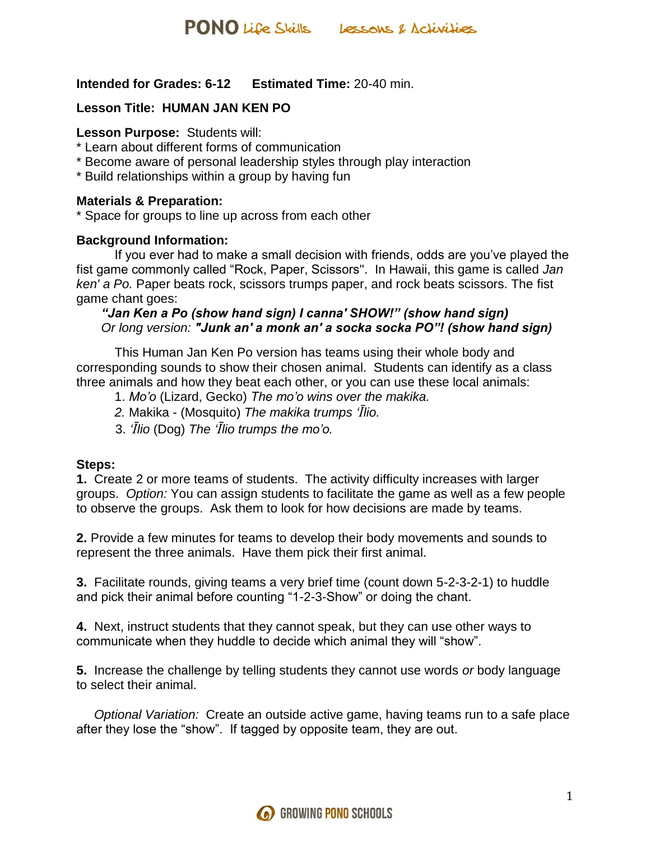# **Intended for Grades: 6-12 Estimated Time:** 20-40 min.

# **Lesson Title: HUMAN JAN KEN PO**

### **Lesson Purpose:** Students will:

- \* Learn about different forms of communication
- \* Become aware of personal leadership styles through play interaction
- \* Build relationships within a group by having fun

### **Materials & Preparation:**

\* Space for groups to line up across from each other

### **Background Information:**

If you ever had to make a small decision with friends, odds are you've played the fist game commonly called "Rock, Paper, Scissors". In Hawaii, this game is called *Jan ken' a Po.* Paper beats rock, scissors trumps paper, and rock beats scissors. The fist game chant goes:

# *"Jan Ken a Po (show hand sign) I canna' SHOW!" (show hand sign) Or long version: "Junk an' a monk an' a socka socka PO"! (show hand sign)*

This Human Jan Ken Po version has teams using their whole body and corresponding sounds to show their chosen animal. Students can identify as a class three animals and how they beat each other, or you can use these local animals:

- 1. *Mo'o* (Lizard, Gecko) *The mo'o wins over the makika.*
- *2.* Makika (Mosquito) *The makika trumps 'Īlio.*
- 3. *'Īlio* (Dog) *The 'Īlio trumps the mo'o.*

# **Steps:**

**1.** Create 2 or more teams of students. The activity difficulty increases with larger groups. *Option:* You can assign students to facilitate the game as well as a few people to observe the groups. Ask them to look for how decisions are made by teams.

**2.** Provide a few minutes for teams to develop their body movements and sounds to represent the three animals. Have them pick their first animal.

**3.** Facilitate rounds, giving teams a very brief time (count down 5-2-3-2-1) to huddle and pick their animal before counting "1-2-3-Show" or doing the chant.

**4.** Next, instruct students that they cannot speak, but they can use other ways to communicate when they huddle to decide which animal they will "show".

**5.** Increase the challenge by telling students they cannot use words *or* body language to select their animal.

 *Optional Variation:* Create an outside active game, having teams run to a safe place after they lose the "show". If tagged by opposite team, they are out.